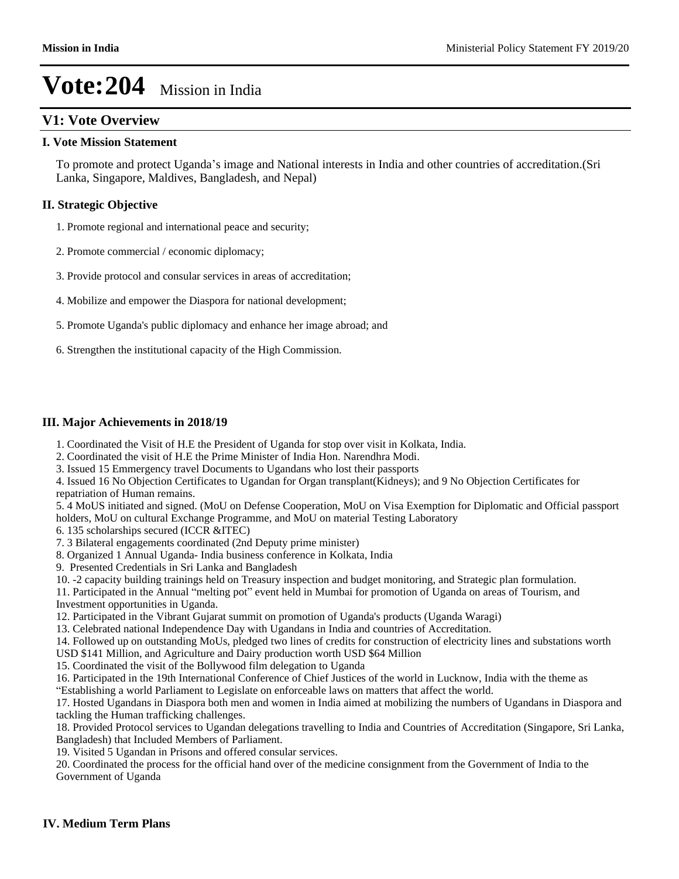## **V1: Vote Overview**

### **I. Vote Mission Statement**

To promote and protect Uganda's image and National interests in India and other countries of accreditation.(Sri Lanka, Singapore, Maldives, Bangladesh, and Nepal)

## **II. Strategic Objective**

1. Promote regional and international peace and security;

- 2. Promote commercial / economic diplomacy;
- 3. Provide protocol and consular services in areas of accreditation;
- 4. Mobilize and empower the Diaspora for national development;
- 5. Promote Uganda's public diplomacy and enhance her image abroad; and
- 6. Strengthen the institutional capacity of the High Commission.

### **III. Major Achievements in 2018/19**

- 1. Coordinated the Visit of H.E the President of Uganda for stop over visit in Kolkata, India.
- 2. Coordinated the visit of H.E the Prime Minister of India Hon. Narendhra Modi.
- 3. Issued 15 Emmergency travel Documents to Ugandans who lost their passports

4. Issued 16 No Objection Certificates to Ugandan for Organ transplant(Kidneys); and 9 No Objection Certificates for repatriation of Human remains.

5. 4 MoUS initiated and signed. (MoU on Defense Cooperation, MoU on Visa Exemption for Diplomatic and Official passport holders, MoU on cultural Exchange Programme, and MoU on material Testing Laboratory

6. 135 scholarships secured (ICCR &ITEC)

7. 3 Bilateral engagements coordinated (2nd Deputy prime minister)

8. Organized 1 Annual Uganda- India business conference in Kolkata, India

- 9. Presented Credentials in Sri Lanka and Bangladesh
- 10. -2 capacity building trainings held on Treasury inspection and budget monitoring, and Strategic plan formulation.
- 11. Participated in the Annual "melting pot" event held in Mumbai for promotion of Uganda on areas of Tourism, and Investment opportunities in Uganda.
- 12. Participated in the Vibrant Gujarat summit on promotion of Uganda's products (Uganda Waragi)

13. Celebrated national Independence Day with Ugandans in India and countries of Accreditation.

- 14. Followed up on outstanding MoUs, pledged two lines of credits for construction of electricity lines and substations worth USD \$141 Million, and Agriculture and Dairy production worth USD \$64 Million
- 15. Coordinated the visit of the Bollywood film delegation to Uganda
- 16. Participated in the 19th International Conference of Chief Justices of the world in Lucknow, India with the theme as ³Establishing a world Parliament to Legislate on enforceable laws on matters that affect the world.

17. Hosted Ugandans in Diaspora both men and women in India aimed at mobilizing the numbers of Ugandans in Diaspora and tackling the Human trafficking challenges.

18. Provided Protocol services to Ugandan delegations travelling to India and Countries of Accreditation (Singapore, Sri Lanka, Bangladesh) that Included Members of Parliament.

19. Visited 5 Ugandan in Prisons and offered consular services.

20. Coordinated the process for the official hand over of the medicine consignment from the Government of India to the Government of Uganda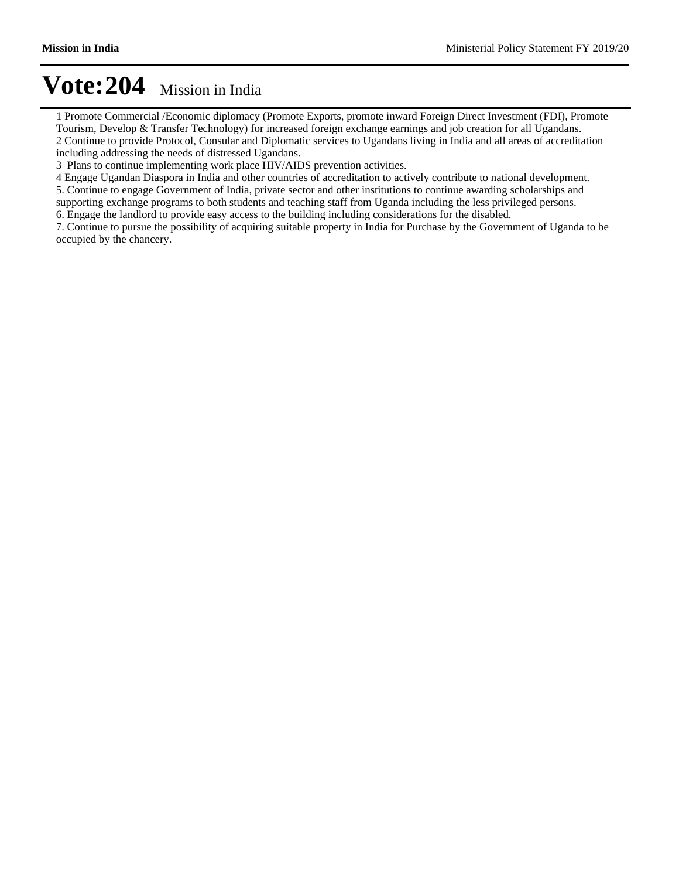1 Promote Commercial /Economic diplomacy (Promote Exports, promote inward Foreign Direct Investment (FDI), Promote Tourism, Develop & Transfer Technology) for increased foreign exchange earnings and job creation for all Ugandans. 2 Continue to provide Protocol, Consular and Diplomatic services to Ugandans living in India and all areas of accreditation including addressing the needs of distressed Ugandans.

3 Plans to continue implementing work place HIV/AIDS prevention activities.

4 Engage Ugandan Diaspora in India and other countries of accreditation to actively contribute to national development.

5. Continue to engage Government of India, private sector and other institutions to continue awarding scholarships and supporting exchange programs to both students and teaching staff from Uganda including the less privileged persons.

6. Engage the landlord to provide easy access to the building including considerations for the disabled.

7. Continue to pursue the possibility of acquiring suitable property in India for Purchase by the Government of Uganda to be occupied by the chancery.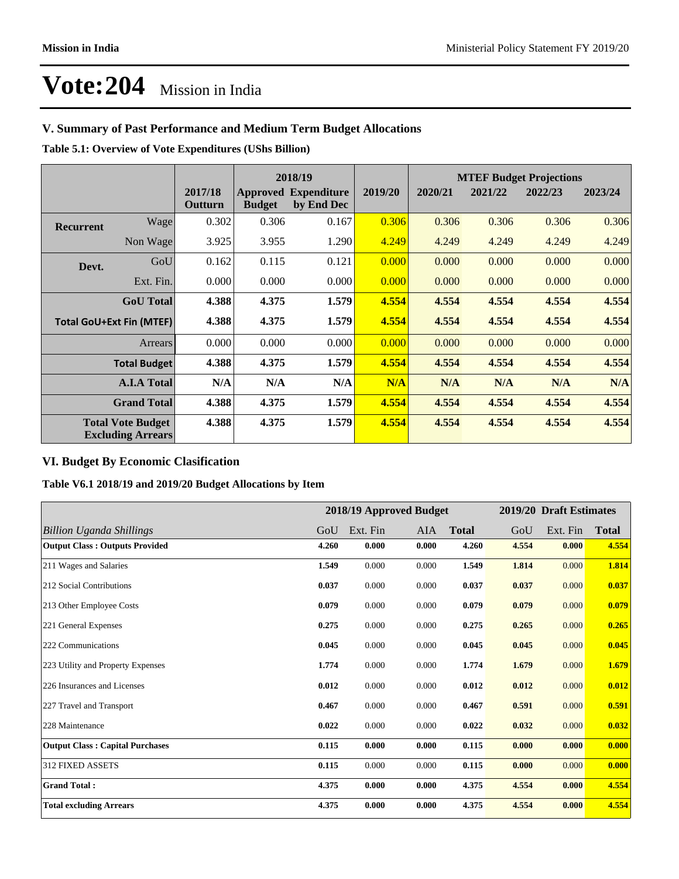## **V. Summary of Past Performance and Medium Term Budget Allocations**

**Table 5.1: Overview of Vote Expenditures (UShs Billion)**

|                                                      |                    |                    |               | 2018/19                                   |         | <b>MTEF Budget Projections</b> |         |         |         |  |
|------------------------------------------------------|--------------------|--------------------|---------------|-------------------------------------------|---------|--------------------------------|---------|---------|---------|--|
|                                                      |                    | 2017/18<br>Outturn | <b>Budget</b> | <b>Approved Expenditure</b><br>by End Dec | 2019/20 | 2020/21                        | 2021/22 | 2022/23 | 2023/24 |  |
| <b>Recurrent</b>                                     | Wagel              | 0.302              | 0.306         | 0.167                                     | 0.306   | 0.306                          | 0.306   | 0.306   | 0.306   |  |
|                                                      | Non Wage           | 3.925              | 3.955         | 1.290                                     | 4.249   | 4.249                          | 4.249   | 4.249   | 4.249   |  |
| Devt.                                                | GoU                | 0.162              | 0.115         | 0.121                                     | 0.000   | 0.000                          | 0.000   | 0.000   | 0.000   |  |
|                                                      | Ext. Fin.          | 0.000              | 0.000         | 0.000                                     | 0.000   | 0.000                          | 0.000   | 0.000   | 0.000   |  |
|                                                      | <b>GoU</b> Total   | 4.388              | 4.375         | 1.579                                     | 4.554   | 4.554                          | 4.554   | 4.554   | 4.554   |  |
| <b>Total GoU+Ext Fin (MTEF)</b>                      |                    | 4.388              | 4.375         | 1.579                                     | 4.554   | 4.554                          | 4.554   | 4.554   | 4.554   |  |
|                                                      | Arrears            | 0.000              | 0.000         | 0.000                                     | 0.000   | 0.000                          | 0.000   | 0.000   | 0.000   |  |
| <b>Total Budget</b>                                  |                    | 4.388              | 4.375         | 1.579                                     | 4.554   | 4.554                          | 4.554   | 4.554   | 4.554   |  |
|                                                      | <b>A.I.A Total</b> | N/A                | N/A           | N/A                                       | N/A     | N/A                            | N/A     | N/A     | N/A     |  |
|                                                      | <b>Grand Total</b> | 4.388              | 4.375         | 1.579                                     | 4.554   | 4.554                          | 4.554   | 4.554   | 4.554   |  |
| <b>Total Vote Budget</b><br><b>Excluding Arrears</b> |                    | 4.388              | 4.375         | 1.579                                     | 4.554   | 4.554                          | 4.554   | 4.554   | 4.554   |  |

## **VI. Budget By Economic Clasification**

**Table V6.1 2018/19 and 2019/20 Budget Allocations by Item**

|                                        |       | 2018/19 Approved Budget |       |              |       | 2019/20 Draft Estimates |              |
|----------------------------------------|-------|-------------------------|-------|--------------|-------|-------------------------|--------------|
| <b>Billion Uganda Shillings</b>        | GoU   | Ext. Fin                | AIA   | <b>Total</b> | GoU   | Ext. Fin                | <b>Total</b> |
| <b>Output Class: Outputs Provided</b>  | 4.260 | 0.000                   | 0.000 | 4.260        | 4.554 | 0.000                   | 4.554        |
| 211 Wages and Salaries                 | 1.549 | 0.000                   | 0.000 | 1.549        | 1.814 | 0.000                   | 1.814        |
| 212 Social Contributions               | 0.037 | 0.000                   | 0.000 | 0.037        | 0.037 | 0.000                   | 0.037        |
| 213 Other Employee Costs               | 0.079 | 0.000                   | 0.000 | 0.079        | 0.079 | 0.000                   | 0.079        |
| 221 General Expenses                   | 0.275 | 0.000                   | 0.000 | 0.275        | 0.265 | 0.000                   | 0.265        |
| 222 Communications                     | 0.045 | 0.000                   | 0.000 | 0.045        | 0.045 | 0.000                   | 0.045        |
| 223 Utility and Property Expenses      | 1.774 | 0.000                   | 0.000 | 1.774        | 1.679 | 0.000                   | 1.679        |
| 226 Insurances and Licenses            | 0.012 | 0.000                   | 0.000 | 0.012        | 0.012 | 0.000                   | 0.012        |
| 227 Travel and Transport               | 0.467 | 0.000                   | 0.000 | 0.467        | 0.591 | 0.000                   | 0.591        |
| 228 Maintenance                        | 0.022 | 0.000                   | 0.000 | 0.022        | 0.032 | 0.000                   | 0.032        |
| <b>Output Class: Capital Purchases</b> | 0.115 | 0.000                   | 0.000 | 0.115        | 0.000 | 0.000                   | 0.000        |
| <b>312 FIXED ASSETS</b>                | 0.115 | 0.000                   | 0.000 | 0.115        | 0.000 | 0.000                   | 0.000        |
| <b>Grand Total:</b>                    | 4.375 | 0.000                   | 0.000 | 4.375        | 4.554 | 0.000                   | 4.554        |
| <b>Total excluding Arrears</b>         | 4.375 | 0.000                   | 0.000 | 4.375        | 4.554 | 0.000                   | 4.554        |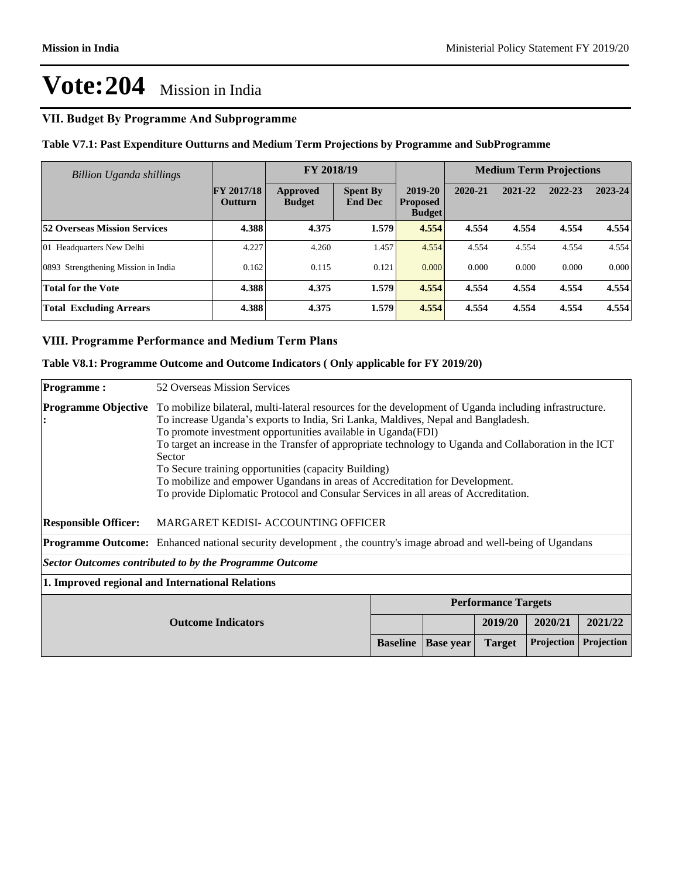## **VII. Budget By Programme And Subprogramme**

**Table V7.1: Past Expenditure Outturns and Medium Term Projections by Programme and SubProgramme**

| Billion Uganda shillings            |                                     | FY 2018/19                |                                   |                                             | <b>Medium Term Projections</b> |         |         |         |
|-------------------------------------|-------------------------------------|---------------------------|-----------------------------------|---------------------------------------------|--------------------------------|---------|---------|---------|
|                                     | <b>FY 2017/18</b><br><b>Outturn</b> | Approved<br><b>Budget</b> | <b>Spent By</b><br><b>End Dec</b> | 2019-20<br><b>Proposed</b><br><b>Budget</b> | 2020-21                        | 2021-22 | 2022-23 | 2023-24 |
| <b>52 Overseas Mission Services</b> | 4.388                               | 4.375                     | 1.579                             | 4.554                                       | 4.554                          | 4.554   | 4.554   | 4.554   |
| 01 Headquarters New Delhi           | 4.227                               | 4.260                     | 1.457                             | 4.554                                       | 4.554                          | 4.554   | 4.554   | 4.554   |
| 0893 Strengthening Mission in India | 0.162                               | 0.115                     | 0.121                             | 0.000                                       | 0.000                          | 0.000   | 0.000   | 0.000   |
| <b>Total for the Vote</b>           | 4.388                               | 4.375                     | 1.579                             | 4.554                                       | 4.554                          | 4.554   | 4.554   | 4.554   |
| <b>Total Excluding Arrears</b>      | 4.388                               | 4.375                     | 1.579                             | 4.554                                       | 4.554                          | 4.554   | 4.554   | 4.554   |

#### **VIII. Programme Performance and Medium Term Plans**

#### **Table V8.1: Programme Outcome and Outcome Indicators ( Only applicable for FY 2019/20)**

| <b>Programme:</b>                                                                                                       | 52 Overseas Mission Services                                                                                                                                                                                                                                                                                                                                                                                                                                                                                                                                                                                  |                 |                  |               |                   |            |
|-------------------------------------------------------------------------------------------------------------------------|---------------------------------------------------------------------------------------------------------------------------------------------------------------------------------------------------------------------------------------------------------------------------------------------------------------------------------------------------------------------------------------------------------------------------------------------------------------------------------------------------------------------------------------------------------------------------------------------------------------|-----------------|------------------|---------------|-------------------|------------|
| <b>Programme Objective</b>                                                                                              | To mobilize bilateral, multi-lateral resources for the development of Uganda including infrastructure.<br>To increase Uganda's exports to India, Sri Lanka, Maldives, Nepal and Bangladesh.<br>To promote investment opportunities available in Uganda(FDI)<br>To target an increase in the Transfer of appropriate technology to Uganda and Collaboration in the ICT<br>Sector<br>To Secure training opportunities (capacity Building)<br>To mobilize and empower Ugandans in areas of Accreditation for Development.<br>To provide Diplomatic Protocol and Consular Services in all areas of Accreditation. |                 |                  |               |                   |            |
| <b>Responsible Officer:</b>                                                                                             | MARGARET KEDISI- ACCOUNTING OFFICER                                                                                                                                                                                                                                                                                                                                                                                                                                                                                                                                                                           |                 |                  |               |                   |            |
| <b>Programme Outcome:</b> Enhanced national security development, the country's image abroad and well-being of Ugandans |                                                                                                                                                                                                                                                                                                                                                                                                                                                                                                                                                                                                               |                 |                  |               |                   |            |
|                                                                                                                         | <b>Sector Outcomes contributed to by the Programme Outcome</b>                                                                                                                                                                                                                                                                                                                                                                                                                                                                                                                                                |                 |                  |               |                   |            |
|                                                                                                                         | 1. Improved regional and International Relations                                                                                                                                                                                                                                                                                                                                                                                                                                                                                                                                                              |                 |                  |               |                   |            |
|                                                                                                                         | <b>Performance Targets</b>                                                                                                                                                                                                                                                                                                                                                                                                                                                                                                                                                                                    |                 |                  |               |                   |            |
| <b>Outcome Indicators</b>                                                                                               |                                                                                                                                                                                                                                                                                                                                                                                                                                                                                                                                                                                                               |                 |                  | 2019/20       | 2020/21           | 2021/22    |
|                                                                                                                         |                                                                                                                                                                                                                                                                                                                                                                                                                                                                                                                                                                                                               | <b>Baseline</b> | <b>Base year</b> | <b>Target</b> | <b>Projection</b> | Projection |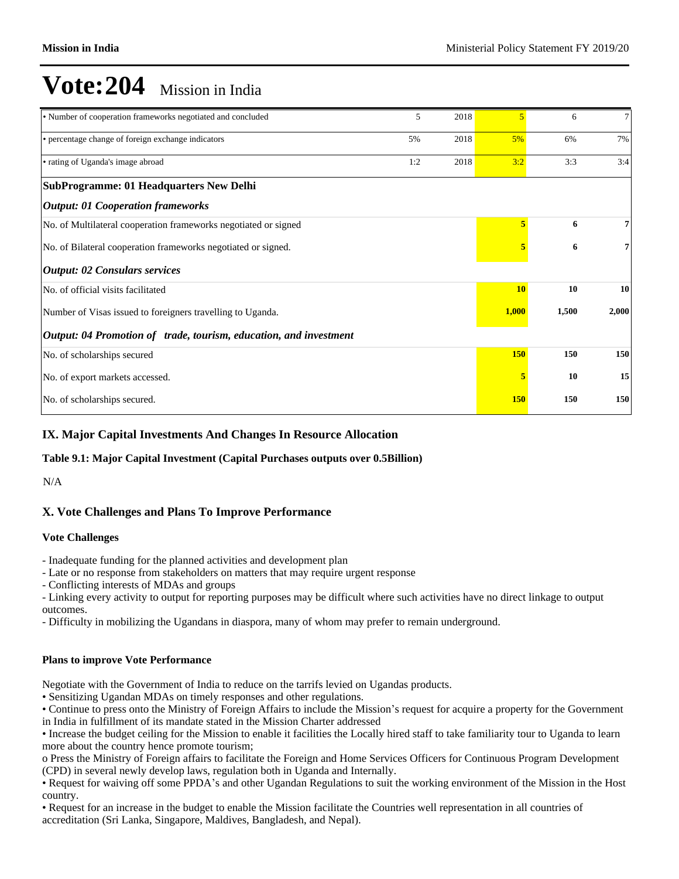| • Number of cooperation frameworks negotiated and concluded       | 5   | 2018 | 5          | 6     | 7     |
|-------------------------------------------------------------------|-----|------|------------|-------|-------|
| • percentage change of foreign exchange indicators                | 5%  | 2018 | 5%         | 6%    | 7%    |
| • rating of Uganda's image abroad                                 | 1:2 | 2018 | 3:2        | 3:3   | 3:4   |
| <b>SubProgramme: 01 Headquarters New Delhi</b>                    |     |      |            |       |       |
| <b>Output: 01 Cooperation frameworks</b>                          |     |      |            |       |       |
| No. of Multilateral cooperation frameworks negotiated or signed   |     |      | 5          | 6     | 7     |
| No. of Bilateral cooperation frameworks negotiated or signed.     |     |      |            | 6     | 7     |
| <b>Output: 02 Consulars services</b>                              |     |      |            |       |       |
| No. of official visits facilitated                                |     |      | <b>10</b>  | 10    | 10    |
| Number of Visas issued to foreigners travelling to Uganda.        |     |      | 1,000      | 1,500 | 2,000 |
| Output: 04 Promotion of trade, tourism, education, and investment |     |      |            |       |       |
| No. of scholarships secured                                       |     |      | 150        | 150   | 150   |
| No. of export markets accessed.                                   |     |      |            | 10    | 15    |
| No. of scholarships secured.                                      |     |      | <b>150</b> | 150   | 150   |

### **IX. Major Capital Investments And Changes In Resource Allocation**

#### **Table 9.1: Major Capital Investment (Capital Purchases outputs over 0.5Billion)**

N/A

## **X. Vote Challenges and Plans To Improve Performance**

#### **Vote Challenges**

- Inadequate funding for the planned activities and development plan
- Late or no response from stakeholders on matters that may require urgent response
- Conflicting interests of MDAs and groups
- Linking every activity to output for reporting purposes may be difficult where such activities have no direct linkage to output outcomes.
- Difficulty in mobilizing the Ugandans in diaspora, many of whom may prefer to remain underground.

#### **Plans to improve Vote Performance**

Negotiate with the Government of India to reduce on the tarrifs levied on Ugandas products.

Sensitizing Ugandan MDAs on timely responses and other regulations.

• Continue to press onto the Ministry of Foreign Affairs to include the Mission's request for acquire a property for the Government in India in fulfillment of its mandate stated in the Mission Charter addressed

Increase the budget ceiling for the Mission to enable it facilities the Locally hired staff to take familiarity tour to Uganda to learn more about the country hence promote tourism;

o Press the Ministry of Foreign affairs to facilitate the Foreign and Home Services Officers for Continuous Program Development (CPD) in several newly develop laws, regulation both in Uganda and Internally.

• Request for waiving off some PPDA's and other Ugandan Regulations to suit the working environment of the Mission in the Host country.

Request for an increase in the budget to enable the Mission facilitate the Countries well representation in all countries of accreditation (Sri Lanka, Singapore, Maldives, Bangladesh, and Nepal).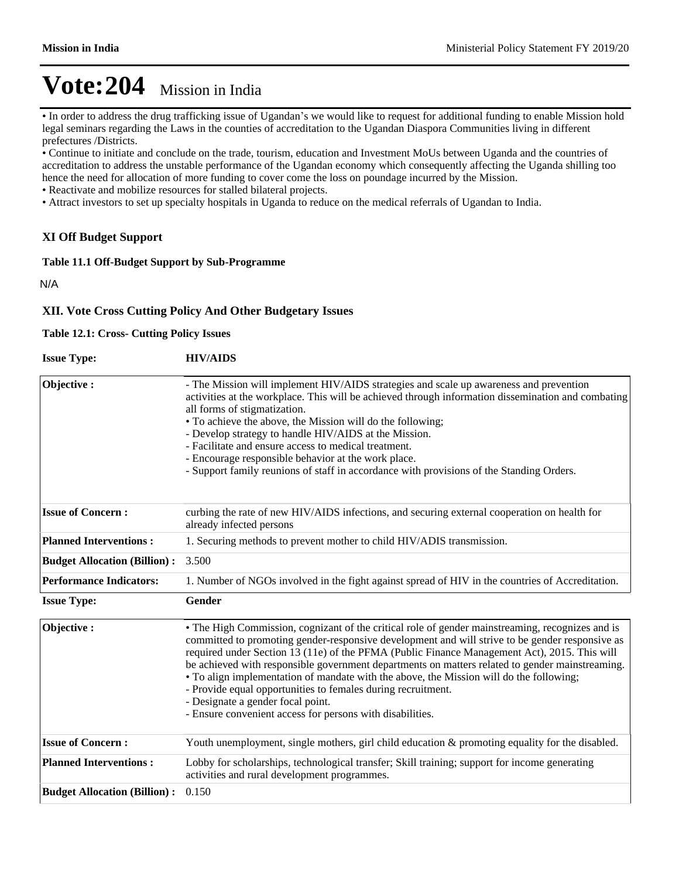• In order to address the drug trafficking issue of Ugandan's we would like to request for additional funding to enable Mission hold legal seminars regarding the Laws in the counties of accreditation to the Ugandan Diaspora Communities living in different prefectures /Districts.

Continue to initiate and conclude on the trade, tourism, education and Investment MoUs between Uganda and the countries of accreditation to address the unstable performance of the Ugandan economy which consequently affecting the Uganda shilling too hence the need for allocation of more funding to cover come the loss on poundage incurred by the Mission.

Reactivate and mobilize resources for stalled bilateral projects.

Attract investors to set up specialty hospitals in Uganda to reduce on the medical referrals of Ugandan to India.

#### **XI Off Budget Support**

#### **Table 11.1 Off-Budget Support by Sub-Programme**

N/A

#### **XII. Vote Cross Cutting Policy And Other Budgetary Issues**

#### **Table 12.1: Cross- Cutting Policy Issues**

| <b>Issue Type:</b>                  | <b>HIV/AIDS</b>                                                                                                                                                                                                                                                                                                                                                                                                                                                                                                                                                                                                                                                     |
|-------------------------------------|---------------------------------------------------------------------------------------------------------------------------------------------------------------------------------------------------------------------------------------------------------------------------------------------------------------------------------------------------------------------------------------------------------------------------------------------------------------------------------------------------------------------------------------------------------------------------------------------------------------------------------------------------------------------|
| Objective:                          | - The Mission will implement HIV/AIDS strategies and scale up awareness and prevention<br>activities at the workplace. This will be achieved through information dissemination and combating<br>all forms of stigmatization.<br>• To achieve the above, the Mission will do the following;<br>- Develop strategy to handle HIV/AIDS at the Mission.<br>- Facilitate and ensure access to medical treatment.<br>- Encourage responsible behavior at the work place.<br>- Support family reunions of staff in accordance with provisions of the Standing Orders.                                                                                                      |
| <b>Issue of Concern:</b>            | curbing the rate of new HIV/AIDS infections, and securing external cooperation on health for<br>already infected persons                                                                                                                                                                                                                                                                                                                                                                                                                                                                                                                                            |
| <b>Planned Interventions:</b>       | 1. Securing methods to prevent mother to child HIV/ADIS transmission.                                                                                                                                                                                                                                                                                                                                                                                                                                                                                                                                                                                               |
| <b>Budget Allocation (Billion):</b> | 3.500                                                                                                                                                                                                                                                                                                                                                                                                                                                                                                                                                                                                                                                               |
| <b>Performance Indicators:</b>      | 1. Number of NGOs involved in the fight against spread of HIV in the countries of Accreditation.                                                                                                                                                                                                                                                                                                                                                                                                                                                                                                                                                                    |
| <b>Issue Type:</b>                  | Gender                                                                                                                                                                                                                                                                                                                                                                                                                                                                                                                                                                                                                                                              |
| Objective:                          | • The High Commission, cognizant of the critical role of gender mainstreaming, recognizes and is<br>committed to promoting gender-responsive development and will strive to be gender responsive as<br>required under Section 13 (11e) of the PFMA (Public Finance Management Act), 2015. This will<br>be achieved with responsible government departments on matters related to gender mainstreaming.<br>• To align implementation of mandate with the above, the Mission will do the following;<br>- Provide equal opportunities to females during recruitment.<br>- Designate a gender focal point.<br>- Ensure convenient access for persons with disabilities. |
| <b>Issue of Concern:</b>            | Youth unemployment, single mothers, girl child education & promoting equality for the disabled.                                                                                                                                                                                                                                                                                                                                                                                                                                                                                                                                                                     |
| <b>Planned Interventions:</b>       | Lobby for scholarships, technological transfer; Skill training; support for income generating<br>activities and rural development programmes.                                                                                                                                                                                                                                                                                                                                                                                                                                                                                                                       |
| <b>Budget Allocation (Billion):</b> | 0.150                                                                                                                                                                                                                                                                                                                                                                                                                                                                                                                                                                                                                                                               |